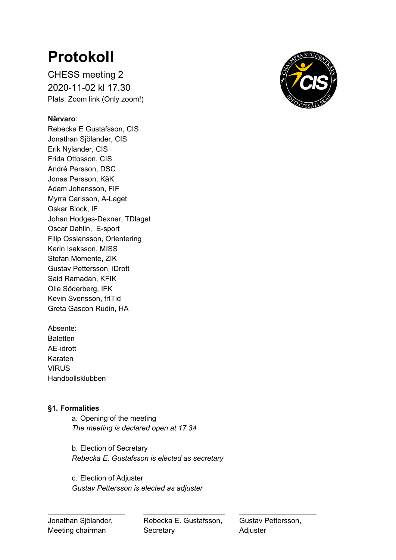# **Protokoll**

CHESS meeting 2 2020-11-02 kl 17.30 Plats: Zoom link (Only zoom!)

# **Närvaro**:

Rebecka E Gustafsson, CIS Jonathan Sjölander, CIS Erik Nylander, CIS Frida Ottosson, CIS André Persson, DSC Jonas Persson, KåK Adam Johansson, FIF Myrra Carlsson, A-Laget Oskar Block, IF Johan Hodges-Dexner, TDlaget Oscar Dahlin, E-sport Filip Ossiansson, Orientering Karin Isaksson, MISS Stefan Momente, ZIK Gustav Pettersson, iDrott Said Ramadan, KFIK Olle Söderberg, IFK Kevin Svensson, frITid Greta Gascon Rudin, HA

Absente: **Baletten** AE-idrott Karaten VIRUS Handbollsklubben

## **§1. Formalities**

a. Opening of the meeting *The meeting is declared open at 17.34*

b. Election of Secretary *Rebecka E. Gustafsson is elected as secretary*

c. Election of Adjuster *Gustav Pettersson is elected as adjuster*

Jonathan Sjölander, Rebecka E. Gustafsson, Gustav Pettersson, Meeting chairman Secretary **Secretary** Adjuster

\_\_\_\_\_\_\_\_\_\_\_\_\_\_\_\_\_\_\_ \_\_\_\_\_\_\_\_\_\_\_\_\_\_\_\_\_\_\_\_ \_\_\_\_\_\_\_\_\_\_\_\_\_\_\_\_\_\_\_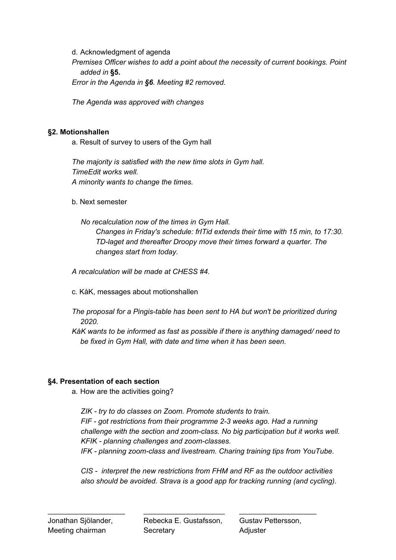d. Acknowledgment of agenda

*Premises Officer wishes to add a point about the necessity of current bookings. Point added in* **§5.**

*Error in the Agenda in §6. Meeting #2 removed.*

*The Agenda was approved with changes*

## **§2. Motionshallen**

a. Result of survey to users of the Gym hall

*The majority is satisfied with the new time slots in Gym hall. TimeEdit works well. A minority wants to change the times.*

b. Next semester

*No recalculation now of the times in Gym Hall. Changes in Friday's schedule: frITid extends their time with 15 min, to 17:30. TD-laget and thereafter Droopy move their times forward a quarter. The changes start from today.*

*A recalculation will be made at CHESS #4.*

- c. KåK, messages about motionshallen
- *The proposal for a Pingis-table has been sent to HA but won't be prioritized during 2020.*
- *KåK wants to be informed as fast as possible if there is anything damaged/ need to be fixed in Gym Hall, with date and time when it has been seen.*

# **§4. Presentation of each section**

a. How are the activities going?

*ZIK - try to do classes on Zoom. Promote students to train. FIF - got restrictions from their programme 2-3 weeks ago. Had a running challenge with the section and zoom-class. No big participation but it works well. KFIK - planning challenges and zoom-classes. IFK - planning zoom-class and livestream. Charing training tips from YouTube.*

*CIS - interpret the new restrictions from FHM and RF as the outdoor activities also should be avoided. Strava is a good app for tracking running (and cycling).*

\_\_\_\_\_\_\_\_\_\_\_\_\_\_\_\_\_\_\_ \_\_\_\_\_\_\_\_\_\_\_\_\_\_\_\_\_\_\_\_ \_\_\_\_\_\_\_\_\_\_\_\_\_\_\_\_\_\_\_